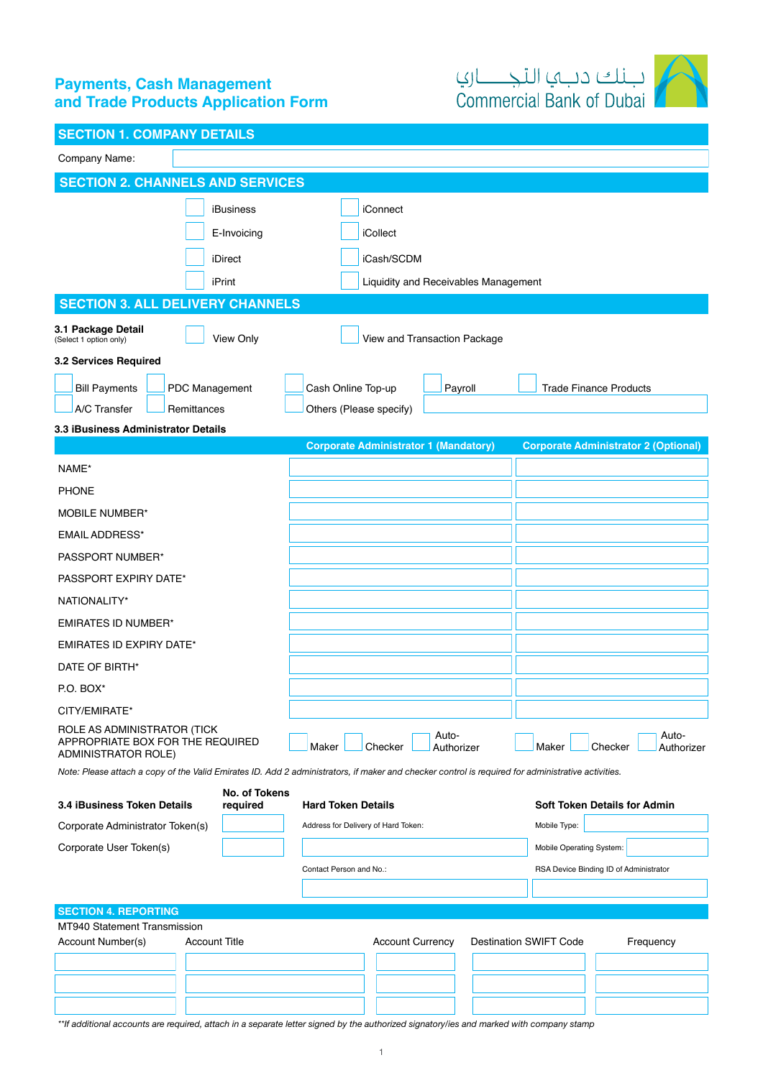# **Payments, Cash Management** and Trade Products Application Form



|  |  |  |  |  | <b>SECTION 1. COMPANY DETAILS</b> |
|--|--|--|--|--|-----------------------------------|
|  |  |  |  |  |                                   |

| Company Name:                                                                                                                                                                                                                                                                                                                                          |                                                                                                                                                                                                                                                  |
|--------------------------------------------------------------------------------------------------------------------------------------------------------------------------------------------------------------------------------------------------------------------------------------------------------------------------------------------------------|--------------------------------------------------------------------------------------------------------------------------------------------------------------------------------------------------------------------------------------------------|
| <b>SECTION 2. CHANNELS AND SERVICES</b>                                                                                                                                                                                                                                                                                                                |                                                                                                                                                                                                                                                  |
| <b>iBusiness</b><br>E-Invoicing<br>iDirect                                                                                                                                                                                                                                                                                                             | iConnect<br>iCollect<br>iCash/SCDM                                                                                                                                                                                                               |
| iPrint                                                                                                                                                                                                                                                                                                                                                 | Liquidity and Receivables Management                                                                                                                                                                                                             |
| <b>SECTION 3. ALL DELIVERY CHANNELS</b><br>3.1 Package Detail<br>View Only<br>(Select 1 option only)                                                                                                                                                                                                                                                   | View and Transaction Package                                                                                                                                                                                                                     |
| 3.2 Services Required<br><b>Bill Payments</b><br>PDC Management<br>A/C Transfer<br>Remittances<br>3.3 iBusiness Administrator Details                                                                                                                                                                                                                  | Cash Online Top-up<br>Payroll<br><b>Trade Finance Products</b><br>Others (Please specify)                                                                                                                                                        |
|                                                                                                                                                                                                                                                                                                                                                        | <b>Corporate Administrator 1 (Mandatory)</b><br><b>Corporate Administrator 2 (Optional)</b>                                                                                                                                                      |
| NAME*<br><b>PHONE</b><br><b>MOBILE NUMBER*</b><br><b>EMAIL ADDRESS*</b><br>PASSPORT NUMBER*<br>PASSPORT EXPIRY DATE*<br>NATIONALITY*<br><b>EMIRATES ID NUMBER*</b><br><b>EMIRATES ID EXPIRY DATE*</b><br>DATE OF BIRTH*<br>P.O. BOX*<br>CITY/EMIRATE*<br>ROLE AS ADMINISTRATOR (TICK<br>APPROPRIATE BOX FOR THE REQUIRED<br><b>ADMINISTRATOR ROLE)</b> | Auto-<br>Auto-<br>Maker<br>Checker<br>Maker<br>Checker<br>Authorizer<br>Authorizer<br>Note: Please attach a copy of the Valid Emirates ID. Add 2 administrators, if maker and checker control is required for administrative activities.         |
| 3.4 iBusiness Token Details<br>required<br>Corporate Administrator Token(s)<br>Corporate User Token(s)                                                                                                                                                                                                                                                 | <b>No. of Tokens</b><br><b>Soft Token Details for Admin</b><br><b>Hard Token Details</b><br>Mobile Type:<br>Address for Delivery of Hard Token:<br>Mobile Operating System:<br>Contact Person and No.:<br>RSA Device Binding ID of Administrator |
| <b>SECTION 4. REPORTING</b>                                                                                                                                                                                                                                                                                                                            |                                                                                                                                                                                                                                                  |
| MT940 Statement Transmission<br><b>Account Title</b><br>Account Number(s)                                                                                                                                                                                                                                                                              | <b>Account Currency</b><br><b>Destination SWIFT Code</b><br>Frequency<br>**If additional accounts are required, attach in a separate letter signed by the authorized signatory/ies and marked with company stamp                                 |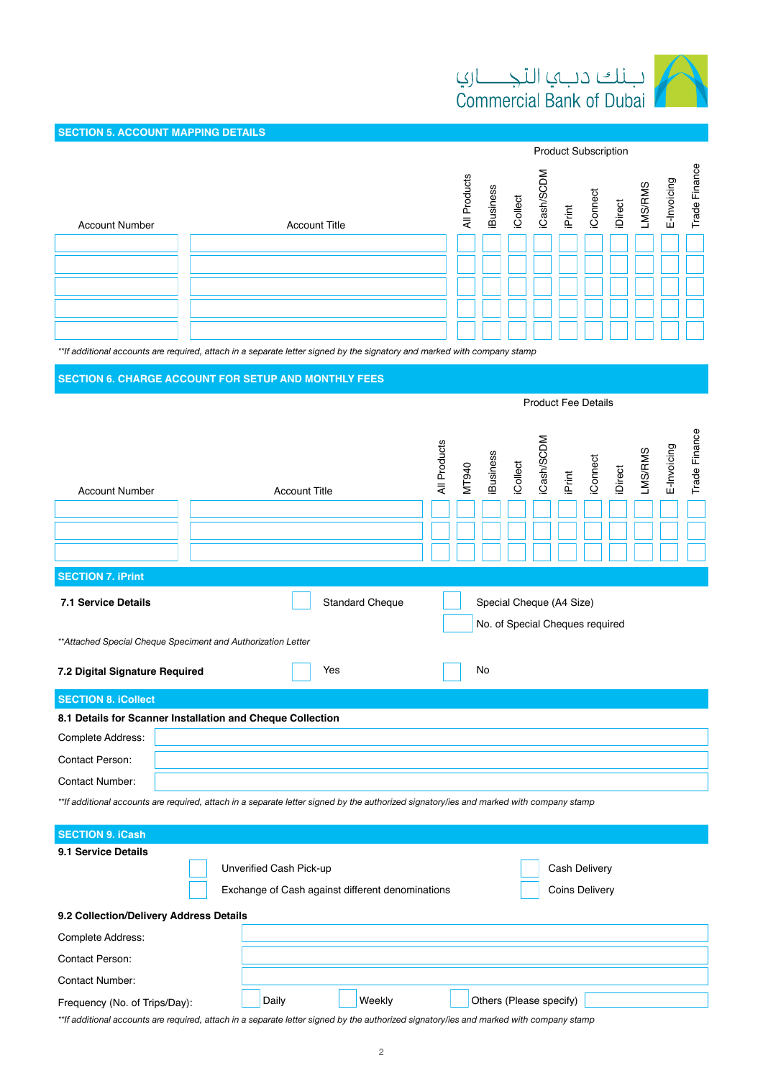

Product Subscription

**Product Fee Details** 

**SECTION 5. ACCOUNT MAPPING DETAILS** 

| <b>Account Number</b> | <b>Account Title</b> | All Products | <b>iBusiness</b> | iCollect | ≏ | iCash/SC<br>iPrint | iConnect | iDirect<br>LMS/RMS<br>E-Invoicing | Trade Finance |
|-----------------------|----------------------|--------------|------------------|----------|---|--------------------|----------|-----------------------------------|---------------|
|                       |                      |              |                  |          |   |                    |          |                                   |               |
|                       |                      |              |                  |          |   |                    |          |                                   |               |
|                       |                      |              |                  |          |   |                    |          |                                   |               |
|                       |                      |              |                  |          |   |                    |          |                                   |               |
|                       |                      |              |                  |          |   |                    |          |                                   |               |

\*\*If additional accounts are required, attach in a separate letter signed by the signatory and marked with company stamp

### **SECTION 6. CHARGE ACCOUNT FOR SETUP AND MONTHLY FEES**

| <b>Account Number</b>                                                                                                                   | <b>Account Title</b>                                                        | All Products<br><b>Business</b><br>MT940 | iCash/SCDM<br>iCollect<br>iPrint                            | Trade Finance<br>E-Invoicing<br><b>LMS/RMS</b><br>iConnect<br>iDirect |  |  |  |  |  |
|-----------------------------------------------------------------------------------------------------------------------------------------|-----------------------------------------------------------------------------|------------------------------------------|-------------------------------------------------------------|-----------------------------------------------------------------------|--|--|--|--|--|
| <b>SECTION 7. iPrint</b>                                                                                                                |                                                                             |                                          |                                                             |                                                                       |  |  |  |  |  |
| <b>7.1 Service Details</b>                                                                                                              | <b>Standard Cheque</b>                                                      |                                          | Special Cheque (A4 Size)<br>No. of Special Cheques required |                                                                       |  |  |  |  |  |
|                                                                                                                                         | ** Attached Special Cheque Speciment and Authorization Letter               |                                          |                                                             |                                                                       |  |  |  |  |  |
| 7.2 Digital Signature Required                                                                                                          | Yes                                                                         | <b>No</b>                                |                                                             |                                                                       |  |  |  |  |  |
| <b>SECTION 8. iCollect</b>                                                                                                              |                                                                             |                                          |                                                             |                                                                       |  |  |  |  |  |
|                                                                                                                                         | 8.1 Details for Scanner Installation and Cheque Collection                  |                                          |                                                             |                                                                       |  |  |  |  |  |
| Complete Address:                                                                                                                       |                                                                             |                                          |                                                             |                                                                       |  |  |  |  |  |
| <b>Contact Person:</b>                                                                                                                  |                                                                             |                                          |                                                             |                                                                       |  |  |  |  |  |
| <b>Contact Number:</b>                                                                                                                  |                                                                             |                                          |                                                             |                                                                       |  |  |  |  |  |
| **If additional accounts are required, attach in a separate letter signed by the authorized signatory/ies and marked with company stamp |                                                                             |                                          |                                                             |                                                                       |  |  |  |  |  |
| <b>SECTION 9. iCash</b>                                                                                                                 |                                                                             |                                          |                                                             |                                                                       |  |  |  |  |  |
| 9.1 Service Details                                                                                                                     | Unverified Cash Pick-up<br>Exchange of Cash against different denominations |                                          | Cash Delivery<br><b>Coins Delivery</b>                      |                                                                       |  |  |  |  |  |

| 9.2 Collection/Delivery Address Details |       |        |                         |  |  |  |  |  |
|-----------------------------------------|-------|--------|-------------------------|--|--|--|--|--|
| Complete Address:                       |       |        |                         |  |  |  |  |  |
| Contact Person:                         |       |        |                         |  |  |  |  |  |
| Contact Number:                         |       |        |                         |  |  |  |  |  |
| Frequency (No. of Trips/Day):           | Daily | Weekly | Others (Please specify) |  |  |  |  |  |

\*\*If additional accounts are required, attach in a separate letter signed by the authorized signatory/ies and marked with company stamp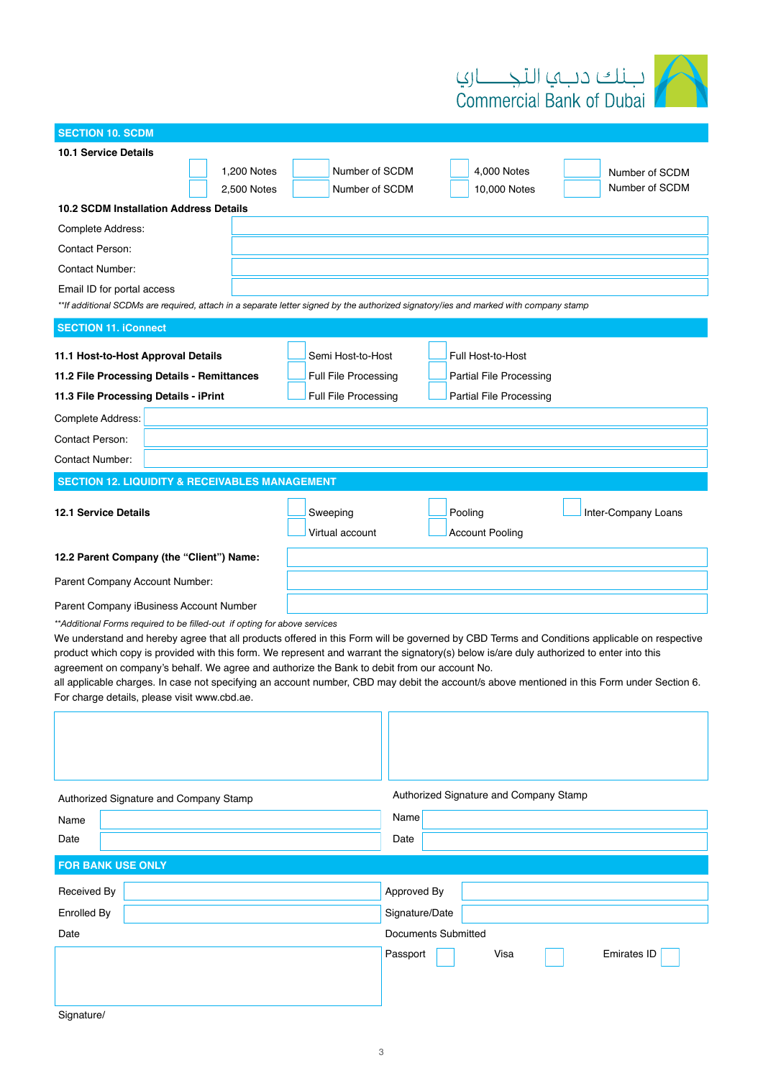

| <b>SECTION 10. SCDM</b>                                                                                                                                                                     |                             |                            |                                        |                     |  |  |  |
|---------------------------------------------------------------------------------------------------------------------------------------------------------------------------------------------|-----------------------------|----------------------------|----------------------------------------|---------------------|--|--|--|
| <b>10.1 Service Details</b>                                                                                                                                                                 |                             |                            |                                        |                     |  |  |  |
| 1,200 Notes                                                                                                                                                                                 | Number of SCDM              |                            | 4,000 Notes                            | Number of SCDM      |  |  |  |
| 2,500 Notes                                                                                                                                                                                 | Number of SCDM              |                            | 10,000 Notes                           | Number of SCDM      |  |  |  |
| <b>10.2 SCDM Installation Address Details</b>                                                                                                                                               |                             |                            |                                        |                     |  |  |  |
| Complete Address:                                                                                                                                                                           |                             |                            |                                        |                     |  |  |  |
| <b>Contact Person:</b>                                                                                                                                                                      |                             |                            |                                        |                     |  |  |  |
| <b>Contact Number:</b>                                                                                                                                                                      |                             |                            |                                        |                     |  |  |  |
| Email ID for portal access                                                                                                                                                                  |                             |                            |                                        |                     |  |  |  |
| **If additional SCDMs are required, attach in a separate letter signed by the authorized signatory/ies and marked with company stamp                                                        |                             |                            |                                        |                     |  |  |  |
| <b>SECTION 11. iConnect</b>                                                                                                                                                                 |                             |                            |                                        |                     |  |  |  |
| 11.1 Host-to-Host Approval Details                                                                                                                                                          | Semi Host-to-Host           |                            | Full Host-to-Host                      |                     |  |  |  |
| 11.2 File Processing Details - Remittances                                                                                                                                                  | Full File Processing        |                            | <b>Partial File Processing</b>         |                     |  |  |  |
| 11.3 File Processing Details - iPrint                                                                                                                                                       | <b>Full File Processing</b> |                            | Partial File Processing                |                     |  |  |  |
|                                                                                                                                                                                             |                             |                            |                                        |                     |  |  |  |
| Complete Address:                                                                                                                                                                           |                             |                            |                                        |                     |  |  |  |
| Contact Person:                                                                                                                                                                             |                             |                            |                                        |                     |  |  |  |
| <b>Contact Number:</b>                                                                                                                                                                      |                             |                            |                                        |                     |  |  |  |
| <b>SECTION 12. LIQUIDITY &amp; RECEIVABLES MANAGEMENT</b>                                                                                                                                   |                             |                            |                                        |                     |  |  |  |
|                                                                                                                                                                                             |                             |                            |                                        |                     |  |  |  |
| <b>12.1 Service Details</b>                                                                                                                                                                 | Sweeping                    |                            | Pooling                                | Inter-Company Loans |  |  |  |
|                                                                                                                                                                                             | Virtual account             |                            | <b>Account Pooling</b>                 |                     |  |  |  |
| 12.2 Parent Company (the "Client") Name:                                                                                                                                                    |                             |                            |                                        |                     |  |  |  |
| Parent Company Account Number:                                                                                                                                                              |                             |                            |                                        |                     |  |  |  |
| Parent Company iBusiness Account Number                                                                                                                                                     |                             |                            |                                        |                     |  |  |  |
| ** Additional Forms required to be filled-out if opting for above services                                                                                                                  |                             |                            |                                        |                     |  |  |  |
| We understand and hereby agree that all products offered in this Form will be governed by CBD Terms and Conditions applicable on respective                                                 |                             |                            |                                        |                     |  |  |  |
| product which copy is provided with this form. We represent and warrant the signatory(s) below is/are duly authorized to enter into this                                                    |                             |                            |                                        |                     |  |  |  |
| agreement on company's behalf. We agree and authorize the Bank to debit from our account No.                                                                                                |                             |                            |                                        |                     |  |  |  |
| all applicable charges. In case not specifying an account number, CBD may debit the account/s above mentioned in this Form under Section 6.<br>For charge details, please visit www.cbd.ae. |                             |                            |                                        |                     |  |  |  |
|                                                                                                                                                                                             |                             |                            |                                        |                     |  |  |  |
|                                                                                                                                                                                             |                             |                            |                                        |                     |  |  |  |
|                                                                                                                                                                                             |                             |                            |                                        |                     |  |  |  |
|                                                                                                                                                                                             |                             |                            |                                        |                     |  |  |  |
|                                                                                                                                                                                             |                             |                            | Authorized Signature and Company Stamp |                     |  |  |  |
| Authorized Signature and Company Stamp                                                                                                                                                      |                             | Name                       |                                        |                     |  |  |  |
| Name                                                                                                                                                                                        |                             |                            |                                        |                     |  |  |  |
| Date                                                                                                                                                                                        |                             | Date                       |                                        |                     |  |  |  |
| <b>FOR BANK USE ONLY</b>                                                                                                                                                                    |                             |                            |                                        |                     |  |  |  |
| Received By                                                                                                                                                                                 |                             | Approved By                |                                        |                     |  |  |  |
| Enrolled By                                                                                                                                                                                 |                             | Signature/Date             |                                        |                     |  |  |  |
| Date                                                                                                                                                                                        |                             | <b>Documents Submitted</b> |                                        |                     |  |  |  |
|                                                                                                                                                                                             |                             |                            |                                        |                     |  |  |  |
|                                                                                                                                                                                             |                             | Passport                   | Visa                                   | <b>Emirates ID</b>  |  |  |  |
|                                                                                                                                                                                             |                             |                            |                                        |                     |  |  |  |
|                                                                                                                                                                                             |                             |                            |                                        |                     |  |  |  |
| Signature/                                                                                                                                                                                  |                             |                            |                                        |                     |  |  |  |